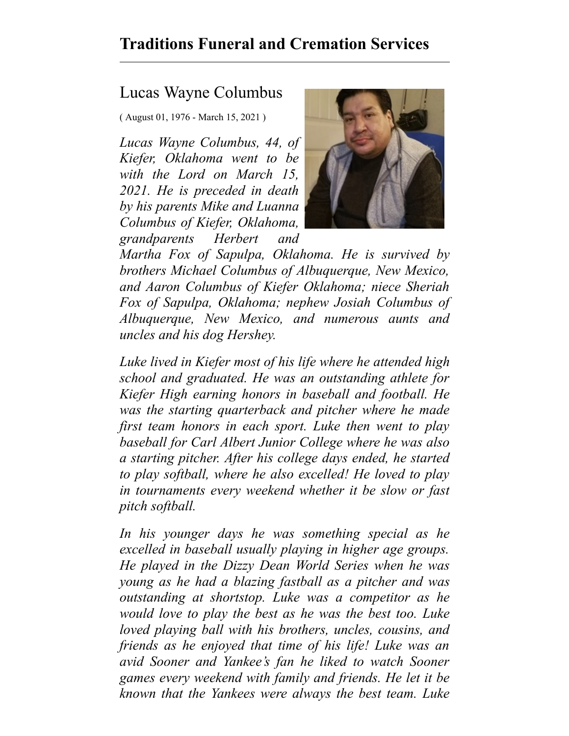## **Traditions Funeral and Cremation Services**

## Lucas Wayne Columbus

( August 01, 1976 - March 15, 2021 )

*Lucas Wayne Columbus, 44, of Kiefer, Oklahoma went to be with the Lord on March 15, 2021. He is preceded in death by his parents Mike and Luanna Columbus of Kiefer, Oklahoma, grandparents Herbert and*



*Martha Fox of Sapulpa, Oklahoma. He is survived by brothers Michael Columbus of Albuquerque, New Mexico, and Aaron Columbus of Kiefer Oklahoma; niece Sheriah Fox of Sapulpa, Oklahoma; nephew Josiah Columbus of Albuquerque, New Mexico, and numerous aunts and uncles and his dog Hershey.*

*Luke lived in Kiefer most of his life where he attended high school and graduated. He was an outstanding athlete for Kiefer High earning honors in baseball and football. He was the starting quarterback and pitcher where he made first team honors in each sport. Luke then went to play baseball for Carl Albert Junior College where he was also a starting pitcher. After his college days ended, he started to play softball, where he also excelled! He loved to play in tournaments every weekend whether it be slow or fast pitch softball.*

*In his younger days he was something special as he excelled in baseball usually playing in higher age groups. He played in the Dizzy Dean World Series when he was young as he had a blazing fastball as a pitcher and was outstanding at shortstop. Luke was a competitor as he would love to play the best as he was the best too. Luke loved playing ball with his brothers, uncles, cousins, and friends as he enjoyed that time of his life! Luke was an avid Sooner and Yankee's fan he liked to watch Sooner games every weekend with family and friends. He let it be known that the Yankees were always the best team. Luke*